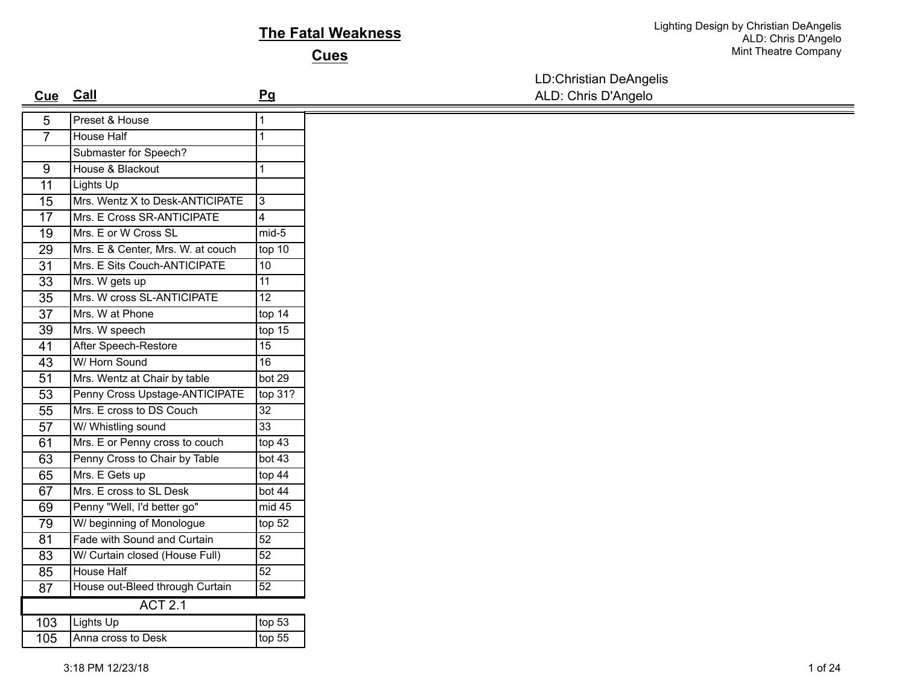## **The Fatal Weakness**

**Cues**

LD:Christian DeAngelis

| <u>Cue</u>      | <b>Call</b>                       | Pq              | ALD: Chris D'Angelo |
|-----------------|-----------------------------------|-----------------|---------------------|
| 5               | Preset & House                    | 1               |                     |
| $\overline{7}$  | House Half                        | 1               |                     |
|                 | Submaster for Speech?             |                 |                     |
| $\overline{9}$  | House & Blackout                  | 1               |                     |
| 11              | Lights Up                         |                 |                     |
| $\overline{15}$ | Mrs. Wentz X to Desk-ANTICIPATE   | $\overline{3}$  |                     |
| $\overline{17}$ | Mrs. E Cross SR-ANTICIPATE        | 4               |                     |
| $\overline{19}$ | Mrs. E or W Cross SL              | $mid-5$         |                     |
| 29              | Mrs. E & Center, Mrs. W. at couch | top 10          |                     |
| $\overline{31}$ | Mrs. E Sits Couch-ANTICIPATE      | 10              |                     |
| $\overline{33}$ | Mrs. W gets up                    | 11              |                     |
| $\overline{35}$ | Mrs. W cross SL-ANTICIPATE        | $\overline{12}$ |                     |
| 37              | Mrs. W at Phone                   | top 14          |                     |
| $\overline{39}$ | Mrs. W speech                     | top $15$        |                     |
| 41              | After Speech-Restore              | $\overline{15}$ |                     |
| $\overline{43}$ | W/ Horn Sound                     | 16              |                     |
| 51              | Mrs. Wentz at Chair by table      | bot 29          |                     |
| 53              | Penny Cross Upstage-ANTICIPATE    | top 31?         |                     |
| 55              | Mrs. E cross to DS Couch          | 32              |                     |
| $\overline{57}$ | W/ Whistling sound                | $\overline{33}$ |                     |
| 61              | Mrs. E or Penny cross to couch    | top 43          |                     |
| 63              | Penny Cross to Chair by Table     | bot 43          |                     |
| 65              | Mrs. E Gets up                    | top 44          |                     |
| 67              | Mrs. E cross to SL Desk           | bot 44          |                     |
| 69              | Penny "Well, I'd better go"       | mid 45          |                     |
| 79              | W/ beginning of Monologue         | top 52          |                     |
| $\overline{81}$ | Fade with Sound and Curtain       | $\overline{52}$ |                     |
| 83              | W/ Curtain closed (House Full)    | 52              |                     |
| 85              | <b>House Half</b>                 | $\overline{52}$ |                     |
| 87              | House out-Bleed through Curtain   | 52              |                     |
|                 | <b>ACT 2.1</b>                    |                 |                     |
| 103             | Lights Up                         | top 53          |                     |
| 105             | Anna cross to Desk                | top 55          |                     |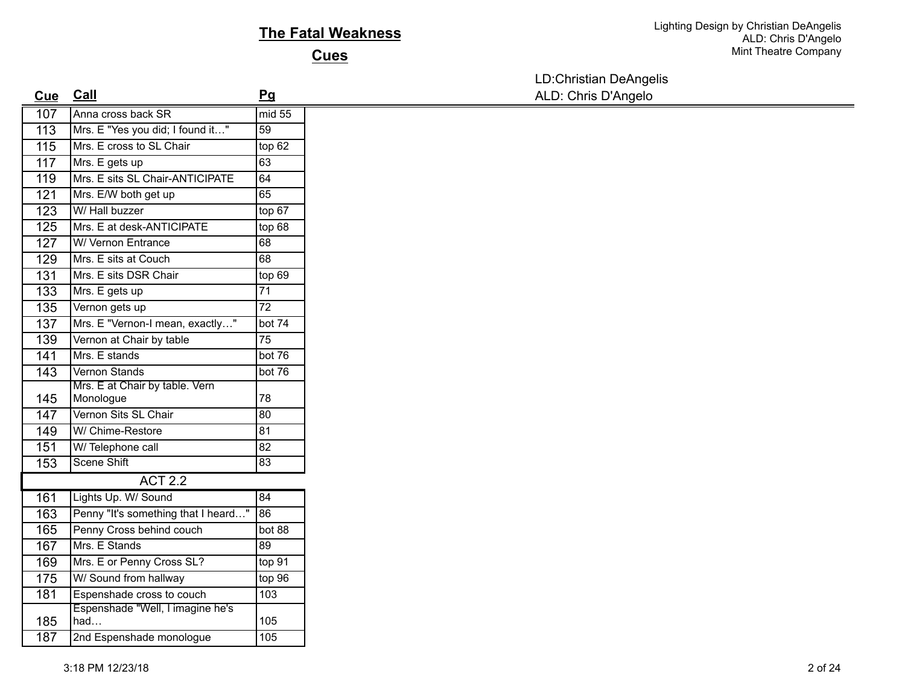## **The Fatal Weakness**

**Cues**

LD:Christian DeAngelis

| <b>Cue</b>       | Call                                | Pq              | ALD: Chris D'Angelo |
|------------------|-------------------------------------|-----------------|---------------------|
| 107              | Anna cross back SR                  | mid 55          |                     |
| $\overline{113}$ | Mrs. E "Yes you did; I found it"    | $\overline{59}$ |                     |
| 115              | Mrs. E cross to SL Chair            | top 62          |                     |
| $\overline{117}$ | Mrs. E gets up                      | 63              |                     |
| 119              | Mrs. E sits SL Chair-ANTICIPATE     | 64              |                     |
| $\overline{121}$ | Mrs. E/W both get up                | 65              |                     |
| $\overline{123}$ | W/ Hall buzzer                      | top 67          |                     |
| 125              | Mrs. E at desk-ANTICIPATE           | top 68          |                     |
| 127              | W/ Vernon Entrance                  | 68              |                     |
| 129              | Mrs. E sits at Couch                | 68              |                     |
| 131              | Mrs. E sits DSR Chair               | top 69          |                     |
| 133              | Mrs. E gets up                      | $\overline{71}$ |                     |
| 135              | Vernon gets up                      | $\overline{72}$ |                     |
| 137              | Mrs. E "Vernon-I mean, exactly"     | bot 74          |                     |
| 139              | Vernon at Chair by table            | $\overline{75}$ |                     |
| $\overline{141}$ | Mrs. E stands                       | bot 76          |                     |
| $\overline{143}$ | Vernon Stands                       | bot 76          |                     |
|                  | Mrs. E at Chair by table. Vern      |                 |                     |
| 145              | Monologue                           | 78              |                     |
| 147              | Vernon Sits SL Chair                | 80              |                     |
| 149              | W/ Chime-Restore                    | 81              |                     |
| 151              | W/Telephone call                    | 82              |                     |
| 153              | Scene Shift                         | $\overline{83}$ |                     |
|                  | <b>ACT 2.2</b>                      |                 |                     |
| 161              | Lights Up. W/ Sound                 | 84              |                     |
| 163              | Penny "It's something that I heard" | 86              |                     |
| 165              | Penny Cross behind couch            | bot 88          |                     |
| 167              | Mrs. E Stands                       | 89              |                     |
| 169              | Mrs. E or Penny Cross SL?           | top 91          |                     |
| 175              | W/ Sound from hallway               | top96           |                     |
| 181              | Espenshade cross to couch           | 103             |                     |
|                  | Espenshade "Well, I imagine he's    | 105             |                     |
| 185<br>187       | had                                 | 105             |                     |
|                  | 2nd Espenshade monologue            |                 |                     |